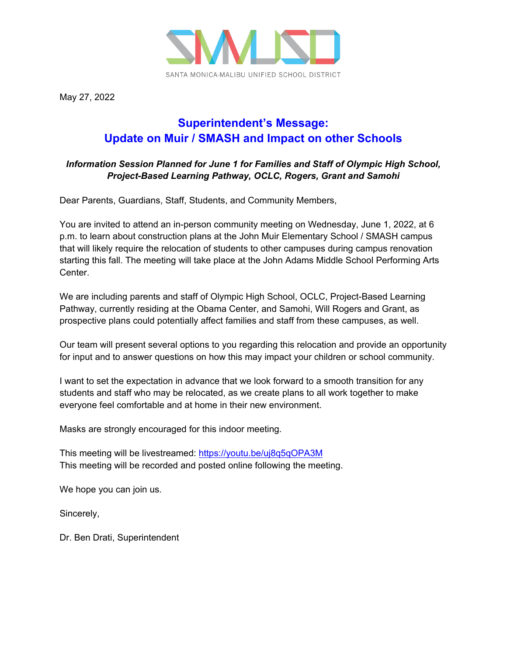

May 27, 2022

## **Superintendent's Message: Update on Muir / SMASH and Impact on other Schools**

## *Information Session Planned for June 1 for Families and Staff of Olympic High School, Project-Based Learning Pathway, OCLC, Rogers, Grant and Samohi*

Dear Parents, Guardians, Staff, Students, and Community Members,

You are invited to attend an in-person community meeting on Wednesday, June 1, 2022, at 6 p.m. to learn about construction plans at the John Muir Elementary School / SMASH campus that will likely require the relocation of students to other campuses during campus renovation starting this fall. The meeting will take place at the John Adams Middle School Performing Arts Center.

We are including parents and staff of Olympic High School, OCLC, Project-Based Learning Pathway, currently residing at the Obama Center, and Samohi, Will Rogers and Grant, as prospective plans could potentially affect families and staff from these campuses, as well.

Our team will present several options to you regarding this relocation and provide an opportunity for input and to answer questions on how this may impact your children or school community.

I want to set the expectation in advance that we look forward to a smooth transition for any students and staff who may be relocated, as we create plans to all work together to make everyone feel comfortable and at home in their new environment.

Masks are strongly encouraged for this indoor meeting.

This meeting will be livestreamed:<https://youtu.be/uj8q5qOPA3M> This meeting will be recorded and posted online following the meeting.

We hope you can join us.

Sincerely,

Dr. Ben Drati, Superintendent